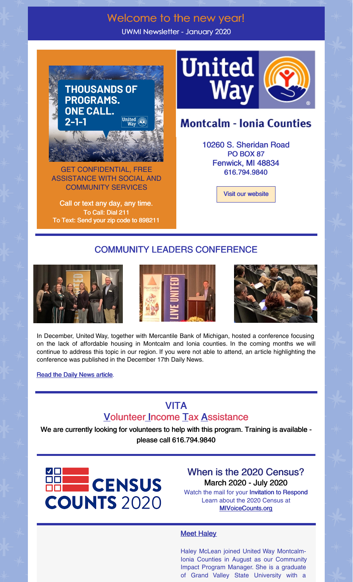## Welcome to the new year!

UWMI Newsletter - January 2020



GET CONFIDENTIAL, FREE ASSISTANCE WITH SOCIAL AND COMMUNITY SERVICES

Call or text any day, any time. To Call: Dial 211 To Text: Send your zip code to 898211



# **Montcalm - Ionia Counties**

10260 S. Sheridan Road PO BOX 87 Fenwick, MI 48834 616.794.9840

Visit our website

#### COMMUNITY LEADERS CONFERENCE







In December, United Way, together with Mercantile Bank of Michigan, hosted a conference focusing on the lack of affordable housing in Montcalm and Ionia counties. In the coming months we will continue to address this topic in our region. If you were not able to attend, an article highlighting the conference was published in the December 17th Daily News.

**Read the Daily News article.** 

### VITA **Volunteer Income Tax Assistance**

We are currently looking for volunteers to help with this program. Training is available please call 616.794.9840



When is the 2020 Census? March 2020 - July 2020

Watch the mail for your Invitation to Respond Learn about the 2020 Census at MIVoiceCounts.org

#### **Meet Haley**

Haley McLean joined United Way Montcalm-Ionia Counties in August as our Community Impact Program Manager. She is a graduate of Grand Valley State University with a